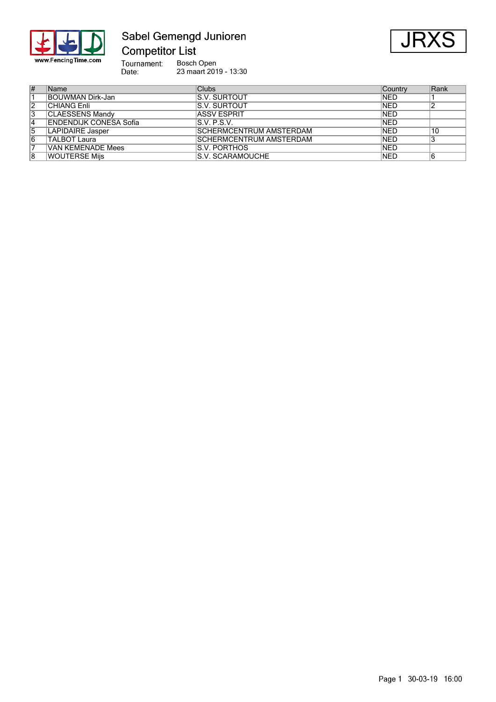

# Sabel Gemengd Junioren

JR>

Bosch Open 23 maart 2019 - 13:30

| # | Name                    | <b>Clubs</b>                   | Country    | Rank |
|---|-------------------------|--------------------------------|------------|------|
|   | BOUWMAN Dirk-Jan        | IS.V. SURTOUT                  | INED       |      |
| 2 | <b>CHIANG Enli</b>      | IS.V. SURTOUT                  | <b>NED</b> |      |
| 3 | CLAESSENS Mandv         | <b>IASSV ESPRIT</b>            | <b>NED</b> |      |
| 4 | ENDENDIJK CONESA Sofía  | S.V. P.S.V.                    | <b>NED</b> |      |
| 5 | <b>LAPIDAIRE Jasper</b> | <b>SCHERMCENTRUM AMSTERDAM</b> | <b>NED</b> | 10   |
| 6 | <b>TALBOT Laura</b>     | <b>SCHERMCENTRUM AMSTERDAM</b> | <b>NED</b> |      |
|   | VAN KEMENADE Mees       | IS.V. PORTHOS                  | <b>NED</b> |      |
| 8 | <b>WOUTERSE Mijs</b>    | S.V. SCARAMOUCHE               | <b>NED</b> |      |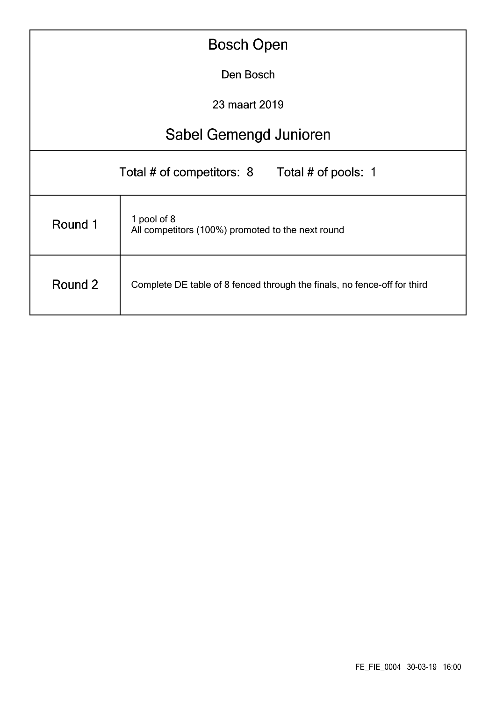| <b>Bosch Open</b>                                |                                                                          |  |  |  |  |  |  |  |  |
|--------------------------------------------------|--------------------------------------------------------------------------|--|--|--|--|--|--|--|--|
|                                                  | Den Bosch                                                                |  |  |  |  |  |  |  |  |
|                                                  | 23 maart 2019                                                            |  |  |  |  |  |  |  |  |
|                                                  | Sabel Gemengd Junioren                                                   |  |  |  |  |  |  |  |  |
| Total # of competitors: 8<br>Total # of pools: 1 |                                                                          |  |  |  |  |  |  |  |  |
| Round 1                                          | 1 pool of 8<br>All competitors (100%) promoted to the next round         |  |  |  |  |  |  |  |  |
| Round 2                                          | Complete DE table of 8 fenced through the finals, no fence-off for third |  |  |  |  |  |  |  |  |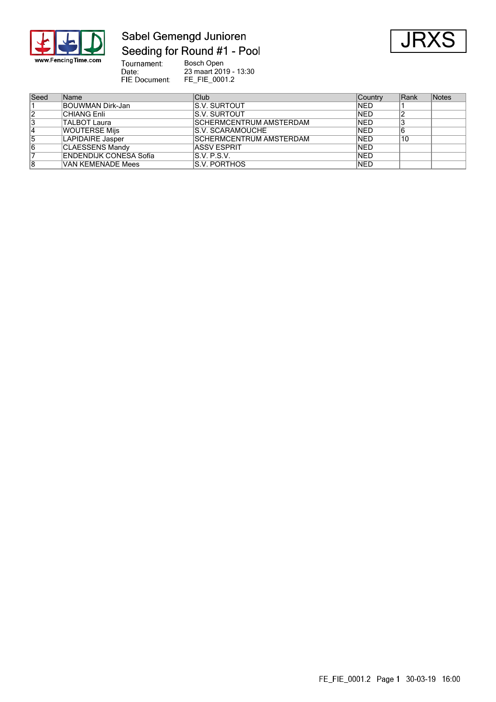

## Sabel Gemengd Junioren Seeding for Round #1 - Pool



Tournament:<br>Date:<br>FIE Document: Bosch Open 23 maart 2019 - 13:30 FE\_FIE\_0001.2

| Seed | Name                          | Club                            | Country     | Rank | Notes |
|------|-------------------------------|---------------------------------|-------------|------|-------|
|      | BOUWMAN Dirk-Jan              | <b>S.V. SURTOUT</b>             | <b>INED</b> |      |       |
| 12   | <b>CHIANG Enli</b>            | IS.V. SURTOUT                   | <b>NED</b>  |      |       |
| 3    | <b>TALBOT Laura</b>           | <b>ISCHERMCENTRUM AMSTERDAM</b> | <b>NED</b>  |      |       |
| 14   | <b>WOUTERSE Mijs</b>          | <b>IS.V. SCARAMOUCHE</b>        | <b>NED</b>  | 16   |       |
| 5    | LAPIDAIRE Jasper              | <b>ISCHERMCENTRUM AMSTERDAM</b> | <b>NED</b>  | 10   |       |
| 16   | <b>CLAESSENS Mandy</b>        | <b>ASSV ESPRIT</b>              | <b>NED</b>  |      |       |
|      | <b>ENDENDIJK CONESA Sofía</b> | IS.V. P.S.V.                    | <b>NED</b>  |      |       |
| 8    | VAN KEMENADE Mees             | IS.V. PORTHOS                   | <b>NED</b>  |      |       |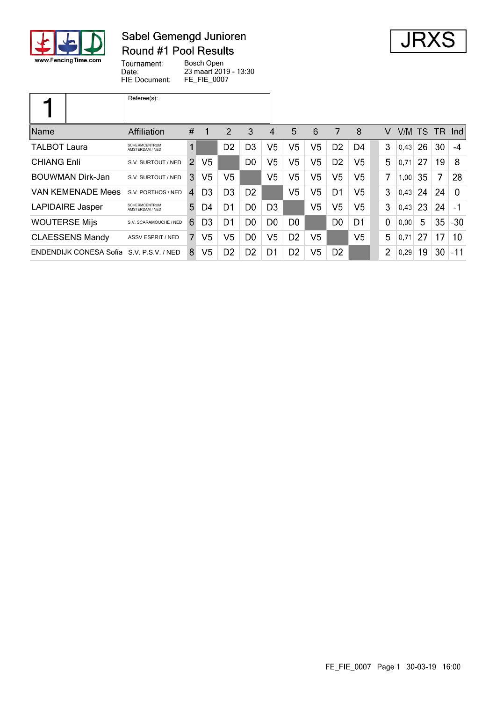

## Sabel Gemengd Junioren Round #1 Pool Results



Tournament: Bosch Open Date: 23 maart 2019 - 13:30 FIE Document: FE\_FIE\_0007

|                          | Referee(s):                             |               |                |                |                |                |                |                |                |                |   |      |     |    |          |
|--------------------------|-----------------------------------------|---------------|----------------|----------------|----------------|----------------|----------------|----------------|----------------|----------------|---|------|-----|----|----------|
| <b>Name</b>              | <b>Affiliation</b>                      | #             | 1              | 2              | 3              | 4              | 5              | 6              | 7              | 8              | v | V/M  | TS. |    | TR Ind   |
| <b>TALBOT Laura</b>      | <b>SCHERMCENTRUM</b><br>AMSTERDAM / NED | 1             |                | D <sub>2</sub> | D <sub>3</sub> | V <sub>5</sub> | V5             | V <sub>5</sub> | D <sub>2</sub> | D4             | 3 | 0,43 | 26  | 30 | $-4$     |
| <b>CHIANG Enli</b>       | S.V. SURTOUT / NED                      | $\mathcal{P}$ | V5             |                | D <sub>0</sub> | V <sub>5</sub> | V5             | V5             | D <sub>2</sub> | V5             | 5 | 0,71 | 27  | 19 | 8        |
| <b>BOUWMAN Dirk-Jan</b>  | S.V. SURTOUT / NED                      | 3             | V <sub>5</sub> | V5             |                | V5             | V5             | V5             | V <sub>5</sub> | V <sub>5</sub> | 7 | 1,00 | 35  | 7  | 28       |
| <b>VAN KEMENADE Mees</b> | S.V. PORTHOS / NED                      | 4             | D3             | D <sub>3</sub> | D <sub>2</sub> |                | V <sub>5</sub> | V5             | D1             | V <sub>5</sub> | 3 | 0.43 | 24  | 24 | $\Omega$ |
| LAPIDAIRE Jasper         | <b>SCHERMCENTRUM</b><br>AMSTERDAM / NED | 5.            | D4             | D1             | D <sub>0</sub> | D <sub>3</sub> |                | V5             | V5             | V5             | 3 | 0,43 | 23  | 24 | $-1$     |
| <b>WOUTERSE Mijs</b>     | S.V. SCARAMOUCHE / NED                  | 6             | D3             | D1             | D <sub>0</sub> | D <sub>0</sub> | D <sub>0</sub> |                | D <sub>0</sub> | D1             | 0 | 0,00 | 5   | 35 | $-30$    |
| <b>CLAESSENS Mandy</b>   | <b>ASSV ESPRIT / NED</b>                | 7.            | V5             | V5             | D <sub>0</sub> | V <sub>5</sub> | D <sub>2</sub> | V5             |                | V5             | 5 | 0.71 | 27  | 17 | 10       |
| ENDENDIJK CONESA Sofía   | S.V. P.S.V. / NED                       | 8             | V5             | D <sub>2</sub> | D <sub>2</sub> | D1             | D <sub>2</sub> | V5             | D <sub>2</sub> |                | 2 | 0,29 | 19  | 30 | -11      |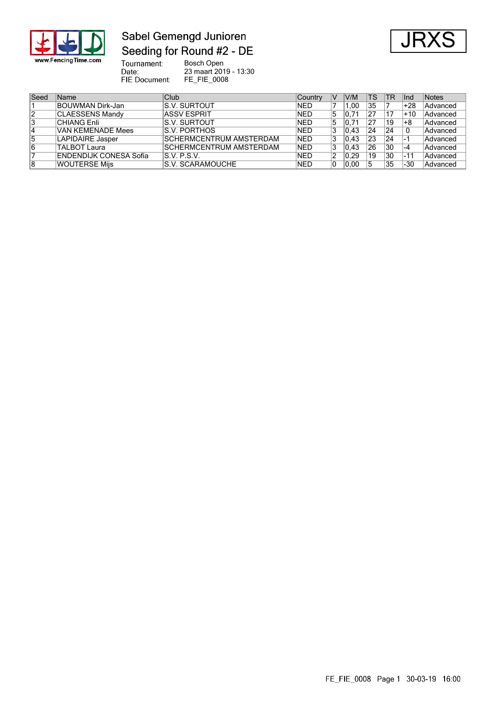

## Sabel Gemengd Junioren Seeding for Round #2 - DE



Tournament:<br>Date:<br>FIE Document: Bosch Open 23 maart 2019 - 13:30 FE\_FIE\_0008

| Seed | Name                   | Club                            | <b>Country</b> | IV | V/M                  | TS | <b>TR</b> | llnd     | Notes           |
|------|------------------------|---------------------------------|----------------|----|----------------------|----|-----------|----------|-----------------|
|      | BOUWMAN Dirk-Jan       | <b>IS.V. SURTOUT</b>            | INED           |    | 0.00                 | 35 |           | +28      | <b>Advanced</b> |
| 2    | <b>CLAESSENS Mandy</b> | <b>ASSV ESPRIT</b>              | <b>NED</b>     | 5  | .71<br>10            | 27 | 17        | +10      | Advanced        |
| 3    | <b>CHIANG Enli</b>     | <b>IS.V. SURTOUT</b>            | <b>NED</b>     | 5  | $.7^{\prime}$<br>10. | 27 | 19        | +8       | Advanced        |
| 4    | VAN KEMENADE Mees      | <b>IS.V. PORTHOS</b>            | <b>NED</b>     | 3  | 0.43                 | 24 | 24        |          | Advanced        |
| 5    | LAPIDAIRE Jasper       | <b>ISCHERMCENTRUM AMSTERDAM</b> | <b>NED</b>     |    | 0.43                 | 23 | 24        |          | Advanced        |
| 6    | TALBOT Laura           | <b>ISCHERMCENTRUM AMSTERDAM</b> | <b>NED</b>     |    | 0.43                 | 26 | 130       | ∣-4      | Advanced        |
|      | ENDENDIJK CONESA Sofía | S.V. P.S.V.                     | <b>NED</b>     |    | 0.29                 | 19 | 30        | $1 - 11$ | Advanced        |
| 8    | <b>WOUTERSE Miis</b>   | <b>IS.V. SCARAMOUCHE</b>        | <b>NED</b>     |    | 0.00                 | 5  | 35        | $-30$    | Advanced        |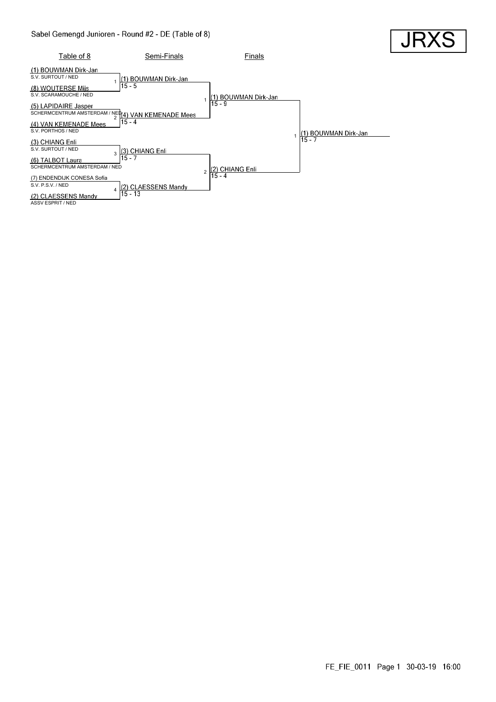

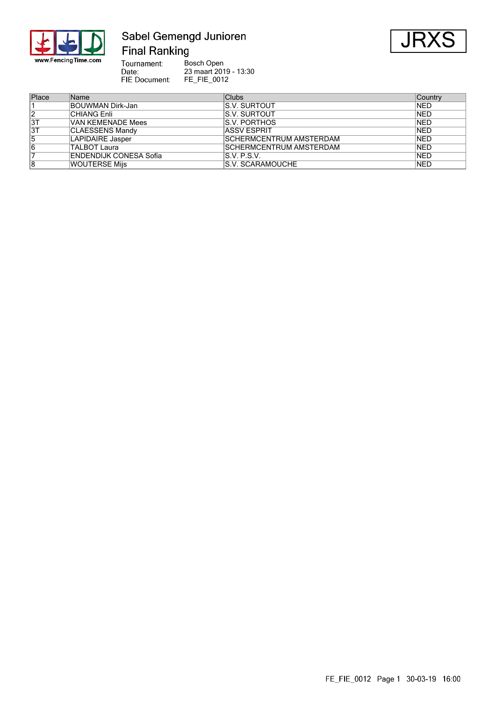

#### Sabel Gemengd Junioren **Final Ranking**



Tournament: Bosch Open Tournament:<br>Date:<br>FIE Document: 23 maart 2019 - 13:30 FE\_FIE\_0012

| Place | <b>Name</b>            | Clubs                           | Country     |
|-------|------------------------|---------------------------------|-------------|
|       | BOUWMAN Dirk-Jan       | IS.V. SURTOUT                   | <b>INED</b> |
| 2     | <b>CHIANG Enli</b>     | IS.V. SURTOUT                   | <b>NED</b>  |
| 3T    | VAN KEMENADE Mees      | IS.V. PORTHOS                   | <b>NED</b>  |
| 3T    | <b>CLAESSENS Mandy</b> | <b>ASSV ESPRIT</b>              | <b>NED</b>  |
| 15    | LAPIDAIRE Jasper       | <b>ISCHERMCENTRUM AMSTERDAM</b> | <b>NED</b>  |
| 16    | TALBOT Laura           | <b>ISCHERMCENTRUM AMSTERDAM</b> | <b>NED</b>  |
|       | ENDENDIJK CONESA Sofía | S.V. P.S.V.                     | <b>NED</b>  |
| 8     | <b>WOUTERSE Mijs</b>   | <b>S.V. SCARAMOUCHE</b>         | <b>NED</b>  |